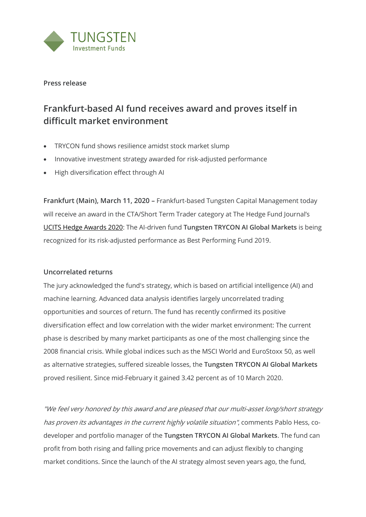

**Press release**

# **Frankfurt-based AI fund receives award and proves itself in difficult market environment**

- TRYCON fund shows resilience amidst stock market slump
- Innovative investment strategy awarded for risk-adjusted performance
- High diversification effect through AI

**Frankfurt (Main), March 11, 2020** – Frankfurt-based Tungsten Capital Management today will receive an award in the CTA/Short Term Trader category at The Hedge Fund Journal's [UCITS Hedge Awards 2020:](https://thehedgefundjournal.com/ucits-hedge-awards-2020/) The AI-driven fund **Tungsten TRYCON AI Global Markets** is being recognized for its risk-adjusted performance as Best Performing Fund 2019.

## **Uncorrelated returns**

The jury acknowledged the fund's strategy, which is based on artificial intelligence (AI) and machine learning. Advanced data analysis identifies largely uncorrelated trading opportunities and sources of return. The fund has recently confirmed its positive diversification effect and low correlation with the wider market environment: The current phase is described by many market participants as one of the most challenging since the 2008 financial crisis. While global indices such as the MSCI World and EuroStoxx 50, as well as alternative strategies, suffered sizeable losses, the **Tungsten TRYCON AI Global Markets** proved resilient. Since mid-February it gained 3.42 percent as of 10 March 2020.

"We feel very honored by this award and are pleased that our multi-asset long/short strategy has proven its advantages in the current highly volatile situation", comments Pablo Hess, codeveloper and portfolio manager of the **Tungsten TRYCON AI Global Markets**. The fund can profit from both rising and falling price movements and can adjust flexibly to changing market conditions. Since the launch of the AI strategy almost seven years ago, the fund,